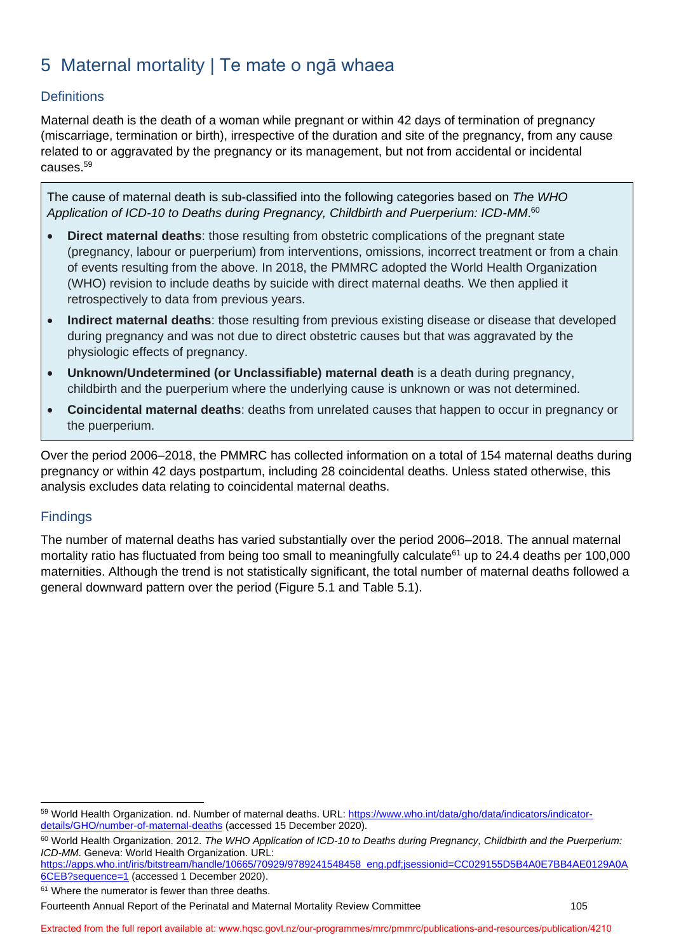# 5 Maternal mortality | Te mate o ngā whaea

## **Definitions**

Maternal death is the death of a woman while pregnant or within 42 days of termination of pregnancy (miscarriage, termination or birth), irrespective of the duration and site of the pregnancy, from any cause related to or aggravated by the pregnancy or its management, but not from accidental or incidental causes.<sup>59</sup>

The cause of maternal death is sub-classified into the following categories based on *The WHO Application of ICD-10 to Deaths during Pregnancy, Childbirth and Puerperium: ICD-MM*. 60

- **Direct maternal deaths**: those resulting from obstetric complications of the pregnant state (pregnancy, labour or puerperium) from interventions, omissions, incorrect treatment or from a chain of events resulting from the above. In 2018, the PMMRC adopted the World Health Organization (WHO) revision to include deaths by suicide with direct maternal deaths. We then applied it retrospectively to data from previous years.
- **Indirect maternal deaths**: those resulting from previous existing disease or disease that developed during pregnancy and was not due to direct obstetric causes but that was aggravated by the physiologic effects of pregnancy.
- **Unknown/Undetermined (or Unclassifiable) maternal death** is a death during pregnancy, childbirth and the puerperium where the underlying cause is unknown or was not determined.
- **Coincidental maternal deaths**: deaths from unrelated causes that happen to occur in pregnancy or the puerperium.

Over the period 2006–2018, the PMMRC has collected information on a total of 154 maternal deaths during pregnancy or within 42 days postpartum, including 28 coincidental deaths. Unless stated otherwise, this analysis excludes data relating to coincidental maternal deaths.

### **Findings**

The number of maternal deaths has varied substantially over the period 2006–2018. The annual maternal mortality ratio has fluctuated from being too small to meaningfully calculate<sup>61</sup> up to 24.4 deaths per 100,000 maternities. Although the trend is not statistically significant, the total number of maternal deaths followed a general downward pattern over the period [\(Figure 5.1](#page-1-0) and [Table](#page-2-0) 5.1).

[https://apps.who.int/iris/bitstream/handle/10665/70929/9789241548458\\_eng.pdf;jsessionid=CC029155D5B4A0E7BB4AE0129A0A](https://apps.who.int/iris/bitstream/handle/10665/70929/9789241548458_eng.pdf;jsessionid=CC029155D5B4A0E7BB4AE0129A0A6CEB?sequence=1) [6CEB?sequence=1](https://apps.who.int/iris/bitstream/handle/10665/70929/9789241548458_eng.pdf;jsessionid=CC029155D5B4A0E7BB4AE0129A0A6CEB?sequence=1) (accessed 1 December 2020).

<sup>59</sup> World Health Organization. nd. Number of maternal deaths. URL: [https://www.who.int/data/gho/data/indicators/indicator](https://www.who.int/data/gho/data/indicators/indicator-details/GHO/number-of-maternal-deaths)[details/GHO/number-of-maternal-deaths](https://www.who.int/data/gho/data/indicators/indicator-details/GHO/number-of-maternal-deaths) (accessed 15 December 2020).

<sup>60</sup> World Health Organization. 2012. *The WHO Application of ICD-10 to Deaths during Pregnancy, Childbirth and the Puerperium: ICD-MM*. Geneva: World Health Organization. URL:

<sup>&</sup>lt;sup>61</sup> Where the numerator is fewer than three deaths.

Fourteenth Annual Report of the Perinatal and Maternal Mortality Review Committee 105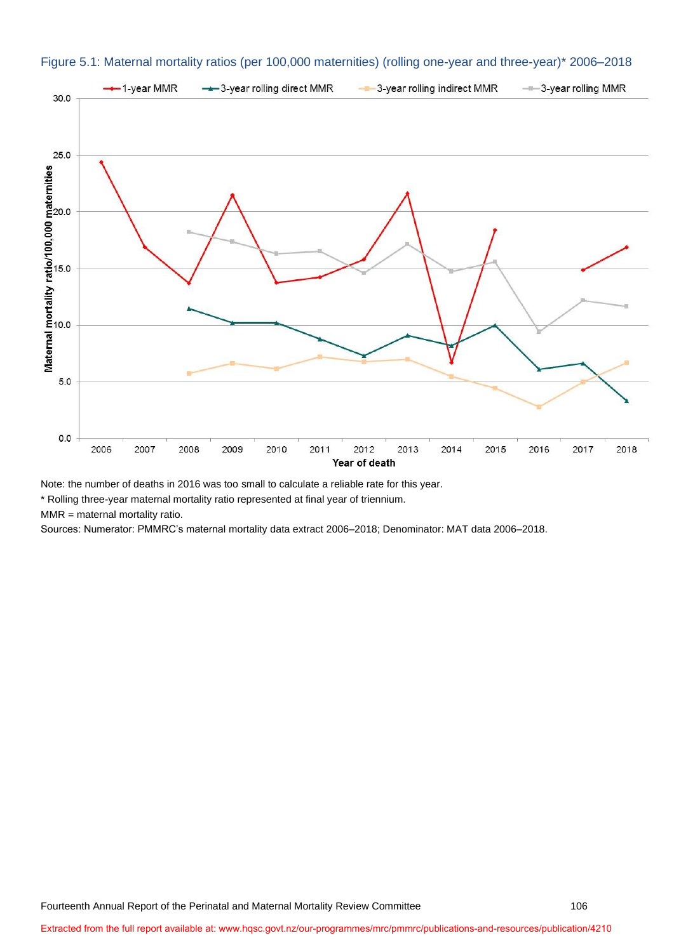

#### <span id="page-1-0"></span>Figure 5.1: Maternal mortality ratios (per 100,000 maternities) (rolling one-year and three-year)\* 2006–2018

Note: the number of deaths in 2016 was too small to calculate a reliable rate for this year.

\* Rolling three-year maternal mortality ratio represented at final year of triennium.

MMR = maternal mortality ratio.

Sources: Numerator: PMMRC's maternal mortality data extract 2006–2018; Denominator: MAT data 2006–2018.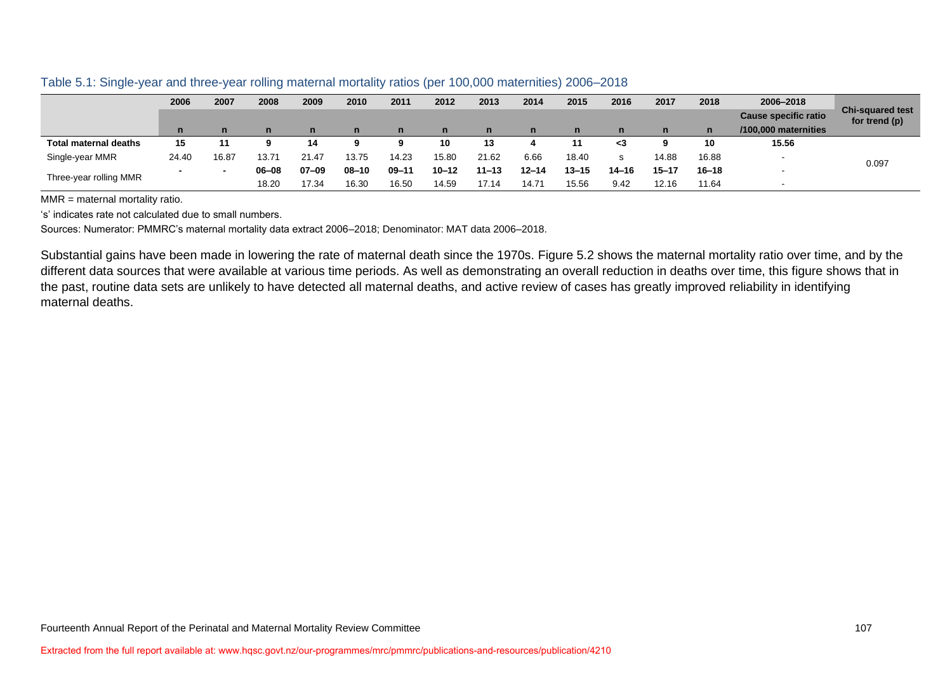|                              | 2006  | 2007  | 2008  | 2009  | 2010      | 2011      | 2012         | 2013         | 2014         | 2015      | 2016      | 2017      | 2018         | 2006-2018                   |                                          |
|------------------------------|-------|-------|-------|-------|-----------|-----------|--------------|--------------|--------------|-----------|-----------|-----------|--------------|-----------------------------|------------------------------------------|
|                              |       |       |       |       |           |           |              |              |              |           |           |           |              | <b>Cause specific ratio</b> | <b>Chi-squared test</b><br>for trend (p) |
|                              |       |       | n     | n     | n         | n         | $\mathsf{n}$ | $\mathsf{n}$ | $\mathsf{n}$ | n         | n         |           | $\mathsf{n}$ | /100,000 maternities        |                                          |
| <b>Total maternal deaths</b> | 15    | 11    |       | 14    |           |           | 10           | 13           |              |           | - 3       |           | 10           | 15.56                       |                                          |
| Single-year MMR              | 24.40 | 16.87 | 13.71 | 21.47 | 13.75     | 14.23     | 15.80        | 21.62        | 6.66         | 18.40     | s         | 14.88     | 16.88        | $\overline{\phantom{0}}$    | 0.097                                    |
|                              |       |       | 06-08 | 07-09 | $08 - 10$ | $09 - 11$ | $10 - 12$    | $11 - 13$    | $12 - 14$    | $13 - 15$ | $14 - 16$ | $15 - 17$ | $16 - 18$    |                             |                                          |
| Three-year rolling MMR       |       |       | 18.20 | 17.34 | 16.30     | 16.50     | 14.59        | 17.14        | 14.71        | 15.56     | 9.42      | 12.16     | 11.64        | $\overline{\phantom{0}}$    |                                          |

Table 5.1: Single-year and three-year rolling maternal mortality ratios (per 100,000 maternities) 2006–2018

MMR = maternal mortality ratio.

's' indicates rate not calculated due to small numbers.

Sources: Numerator: PMMRC's maternal mortality data extract 2006–2018; Denominator: MAT data 2006–2018.

<span id="page-2-0"></span>Substantial gains have been made in lowering the rate of maternal death since the 1970s. [Figure 5.2](#page-3-0) shows the maternal mortality ratio over time, and by the different data sources that were available at various time periods. As well as demonstrating an overall reduction in deaths over time, this figure shows that in the past, routine data sets are unlikely to have detected all maternal deaths, and active review of cases has greatly improved reliability in identifying maternal deaths.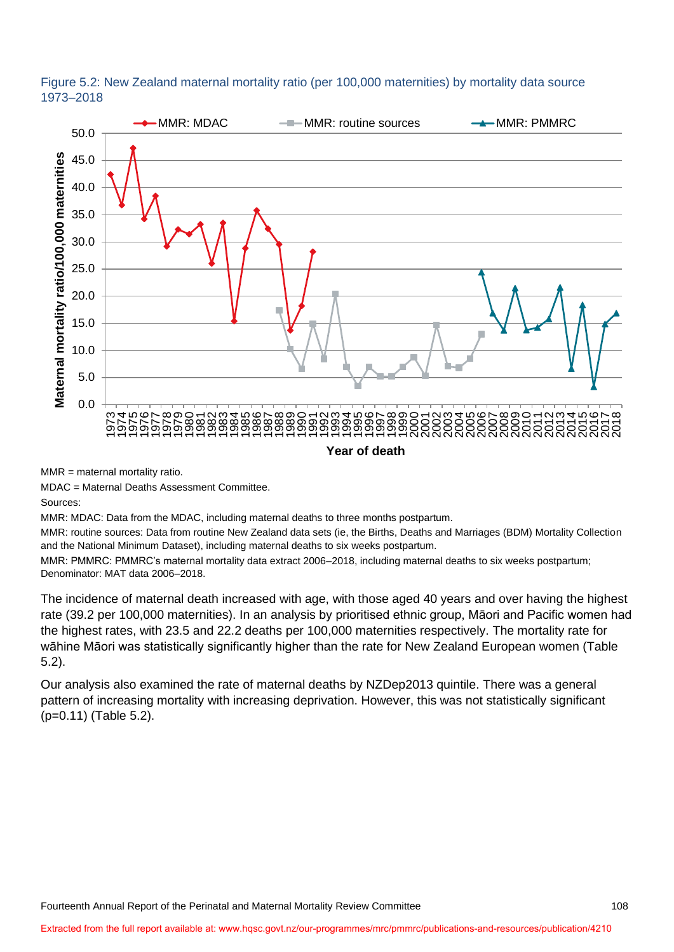<span id="page-3-0"></span>



MMR = maternal mortality ratio.

MDAC = Maternal Deaths Assessment Committee.

Sources:

MMR: MDAC: Data from the MDAC, including maternal deaths to three months postpartum.

MMR: routine sources: Data from routine New Zealand data sets (ie, the Births, Deaths and Marriages (BDM) Mortality Collection and the National Minimum Dataset), including maternal deaths to six weeks postpartum.

MMR: PMMRC: PMMRC's maternal mortality data extract 2006–2018, including maternal deaths to six weeks postpartum; Denominator: MAT data 2006–2018.

The incidence of maternal death increased with age, with those aged 40 years and over having the highest rate (39.2 per 100,000 maternities). In an analysis by prioritised ethnic group, Māori and Pacific women had the highest rates, with 23.5 and 22.2 deaths per 100,000 maternities respectively. The mortality rate for wāhine Māori was statistically significantly higher than the rate for New Zealand European women [\(Table](#page-4-0)  [5.2\)](#page-4-0).

Our analysis also examined the rate of maternal deaths by NZDep2013 quintile. There was a general pattern of increasing mortality with increasing deprivation. However, this was not statistically significant (p=0.11) [\(Table 5.2\)](#page-4-0).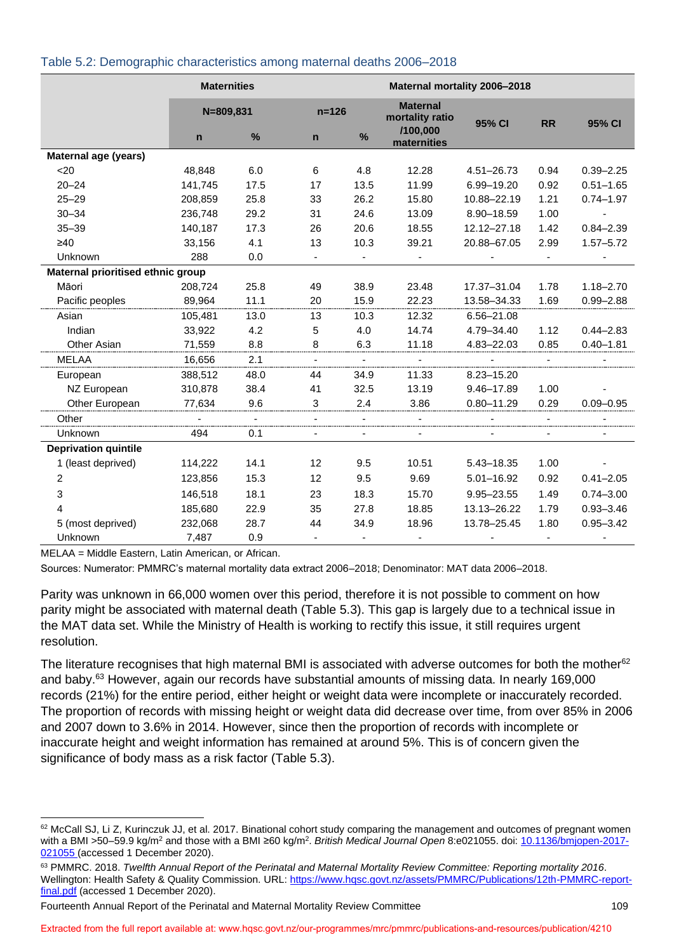|                                   | <b>Maternities</b> |      |                | Maternal mortality 2006-2018 |                                    |                |                |               |  |
|-----------------------------------|--------------------|------|----------------|------------------------------|------------------------------------|----------------|----------------|---------------|--|
|                                   | $N = 809, 831$     |      | $n = 126$      |                              | <b>Maternal</b><br>mortality ratio | 95% CI         | <b>RR</b>      | 95% CI        |  |
|                                   | $\mathsf{n}$       | $\%$ | $\mathsf{n}$   | $\frac{9}{6}$                | /100,000<br>maternities            |                |                |               |  |
| Maternal age (years)              |                    |      |                |                              |                                    |                |                |               |  |
| $20$                              | 48,848             | 6.0  | 6              | 4.8                          | 12.28                              | 4.51-26.73     | 0.94           | $0.39 - 2.25$ |  |
| $20 - 24$                         | 141,745            | 17.5 | 17             | 13.5                         | 11.99                              | 6.99-19.20     | 0.92           | $0.51 - 1.65$ |  |
| $25 - 29$                         | 208,859            | 25.8 | 33             | 26.2                         | 15.80                              | 10.88-22.19    | 1.21           | $0.74 - 1.97$ |  |
| $30 - 34$                         | 236,748            | 29.2 | 31             | 24.6                         | 13.09                              | 8.90-18.59     | 1.00           |               |  |
| $35 - 39$                         | 140,187            | 17.3 | 26             | 20.6                         | 18.55                              | 12.12-27.18    | 1.42           | $0.84 - 2.39$ |  |
| $\geq 40$                         | 33,156             | 4.1  | 13             | 10.3                         | 39.21                              | 20.88-67.05    | 2.99           | $1.57 - 5.72$ |  |
| Unknown                           | 288                | 0.0  |                | $\blacksquare$               |                                    |                | $\blacksquare$ |               |  |
| Maternal prioritised ethnic group |                    |      |                |                              |                                    |                |                |               |  |
| Māori                             | 208,724            | 25.8 | 49             | 38.9                         | 23.48                              | 17.37-31.04    | 1.78           | $1.18 - 2.70$ |  |
| Pacific peoples                   | 89,964             | 11.1 | 20             | 15.9                         | 22.23                              | 13.58-34.33    | 1.69           | $0.99 - 2.88$ |  |
| Asian                             | 105,481            | 13.0 | 13             | 10.3                         | 12.32                              | 6.56-21.08     |                |               |  |
| Indian                            | 33,922             | 4.2  | 5              | 4.0                          | 14.74                              | 4.79-34.40     | 1.12           | $0.44 - 2.83$ |  |
| Other Asian                       | 71,559             | 8.8  | 8              | 6.3                          | 11.18                              | 4.83-22.03     | 0.85           | $0.40 - 1.81$ |  |
| MELAA                             | 16,656             | 2.1  | $\blacksquare$ | $\blacksquare$               |                                    |                |                |               |  |
| European                          | 388,512            | 48.0 | 44             | 34.9                         | 11.33                              | 8.23-15.20     |                |               |  |
| NZ European                       | 310,878            | 38.4 | 41             | 32.5                         | 13.19                              | 9.46-17.89     | 1.00           |               |  |
| Other European                    | 77,634             | 9.6  | 3              | 2.4                          | 3.86                               | $0.80 - 11.29$ | 0.29           | $0.09 - 0.95$ |  |
| Other                             |                    |      |                |                              |                                    |                |                |               |  |
| Unknown                           | 494                | 0.1  |                |                              |                                    |                |                |               |  |
| <b>Deprivation quintile</b>       |                    |      |                |                              |                                    |                |                |               |  |
| 1 (least deprived)                | 114,222            | 14.1 | 12             | 9.5                          | 10.51                              | 5.43-18.35     | 1.00           |               |  |
| $\overline{c}$                    | 123,856            | 15.3 | 12             | 9.5                          | 9.69                               | $5.01 - 16.92$ | 0.92           | $0.41 - 2.05$ |  |
| 3                                 | 146,518            | 18.1 | 23             | 18.3                         | 15.70                              | 9.95-23.55     | 1.49           | $0.74 - 3.00$ |  |
| 4                                 | 185,680            | 22.9 | 35             | 27.8                         | 18.85                              | 13.13-26.22    | 1.79           | $0.93 - 3.46$ |  |
| 5 (most deprived)                 | 232,068            | 28.7 | 44             | 34.9                         | 18.96                              | 13.78-25.45    | 1.80           | $0.95 - 3.42$ |  |
| Unknown                           | 7,487              | 0.9  |                |                              |                                    |                |                |               |  |

#### <span id="page-4-0"></span>Table 5.2: Demographic characteristics among maternal deaths 2006–2018

MELAA = Middle Eastern, Latin American, or African.

Sources: Numerator: PMMRC's maternal mortality data extract 2006–2018; Denominator: MAT data 2006–2018.

Parity was unknown in 66,000 women over this period, therefore it is not possible to comment on how parity might be associated with maternal death [\(Table 5.3\)](#page-5-0). This gap is largely due to a technical issue in the MAT data set. While the Ministry of Health is working to rectify this issue, it still requires urgent resolution.

The literature recognises that high maternal BMI is associated with adverse outcomes for both the mother<sup>62</sup> and baby.<sup>63</sup> However, again our records have substantial amounts of missing data. In nearly 169,000 records (21%) for the entire period, either height or weight data were incomplete or inaccurately recorded. The proportion of records with missing height or weight data did decrease over time, from over 85% in 2006 and 2007 down to 3.6% in 2014. However, since then the proportion of records with incomplete or inaccurate height and weight information has remained at around 5%. This is of concern given the significance of body mass as a risk factor [\(Table 5.3\)](#page-5-0).

<sup>&</sup>lt;sup>62</sup> McCall SJ, Li Z, Kurinczuk JJ, et al. 2017. Binational cohort study comparing the management and outcomes of pregnant women with a BMI >50–59.9 kg/m<sup>2</sup> and those with a BMI ≥60 kg/m<sup>2</sup> . *British Medical Journal Open* 8:e021055. doi: [10.1136/bmjopen-2017-](http://dx.doi.org/10.1136/bmjopen-2017-021055) [021055](http://dx.doi.org/10.1136/bmjopen-2017-021055) (accessed 1 December 2020).

<sup>63</sup> PMMRC. 2018. *Twelfth Annual Report of the Perinatal and Maternal Mortality Review Committee: Reporting mortality 2016*. Wellington: Health Safety & Quality Commission. URL: [https://www.hqsc.govt.nz/assets/PMMRC/Publications/12th-PMMRC-report](https://www.hqsc.govt.nz/assets/PMMRC/Publications/12th-PMMRC-report-final.pdf)[final.pdf](https://www.hqsc.govt.nz/assets/PMMRC/Publications/12th-PMMRC-report-final.pdf) (accessed 1 December 2020).

Fourteenth Annual Report of the Perinatal and Maternal Mortality Review Committee 109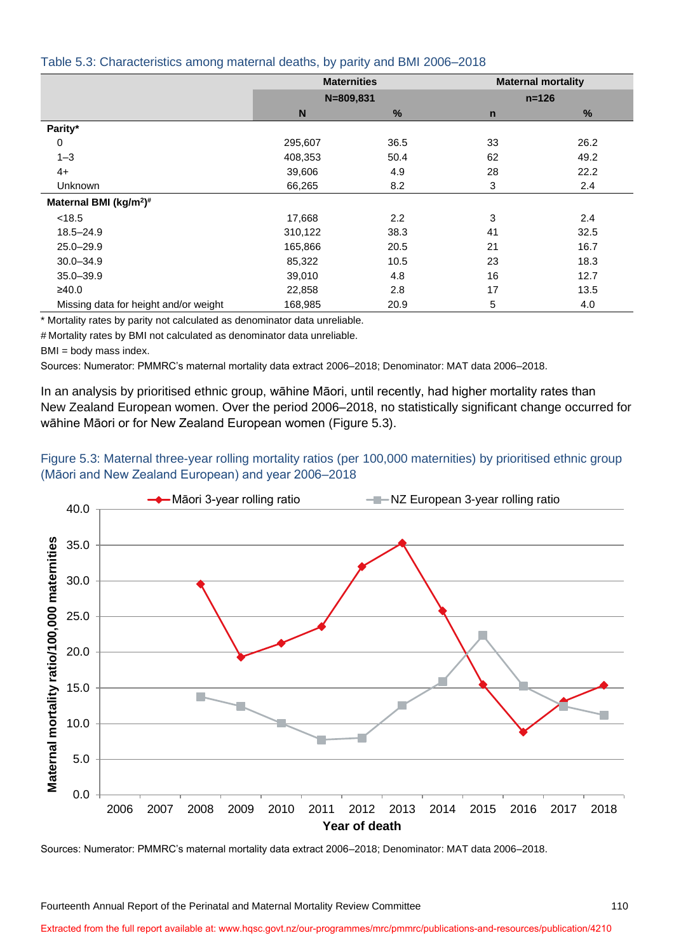#### <span id="page-5-0"></span>Table 5.3: Characteristics among maternal deaths, by parity and BMI 2006–2018

|                                                | <b>Maternities</b> |      |             | <b>Maternal mortality</b> |
|------------------------------------------------|--------------------|------|-------------|---------------------------|
|                                                | $N = 809, 831$     |      |             | $n = 126$                 |
|                                                | N                  | %    | $\mathbf n$ | %                         |
| Parity*                                        |                    |      |             |                           |
| 0                                              | 295,607            | 36.5 | 33          | 26.2                      |
| $1 - 3$                                        | 408,353            | 50.4 | 62          | 49.2                      |
| $4+$                                           | 39,606             | 4.9  | 28          | 22.2                      |
| <b>Unknown</b>                                 | 66,265             | 8.2  | 3           | 2.4                       |
| Maternal BMI (kg/m <sup>2</sup> ) <sup>#</sup> |                    |      |             |                           |
| < 18.5                                         | 17,668             | 2.2  | 3           | 2.4                       |
| $18.5 - 24.9$                                  | 310,122            | 38.3 | 41          | 32.5                      |
| $25.0 - 29.9$                                  | 165,866            | 20.5 | 21          | 16.7                      |
| $30.0 - 34.9$                                  | 85,322             | 10.5 | 23          | 18.3                      |
| $35.0 - 39.9$                                  | 39,010             | 4.8  | 16          | 12.7                      |
| ≥40.0                                          | 22,858             | 2.8  | 17          | 13.5                      |
| Missing data for height and/or weight          | 168,985            | 20.9 | 5           | 4.0                       |

\* Mortality rates by parity not calculated as denominator data unreliable.

# Mortality rates by BMI not calculated as denominator data unreliable.

BMI = body mass index.

Sources: Numerator: PMMRC's maternal mortality data extract 2006–2018; Denominator: MAT data 2006–2018.

In an analysis by prioritised ethnic group, wāhine Māori, until recently, had higher mortality rates than New Zealand European women. Over the period 2006–2018, no statistically significant change occurred for wāhine Māori or for New Zealand European women [\(Figure 5.3\)](#page-5-1).

#### <span id="page-5-1"></span>Figure 5.3: Maternal three-year rolling mortality ratios (per 100,000 maternities) by prioritised ethnic group (Māori and New Zealand European) and year 2006–2018



Sources: Numerator: PMMRC's maternal mortality data extract 2006–2018; Denominator: MAT data 2006–2018.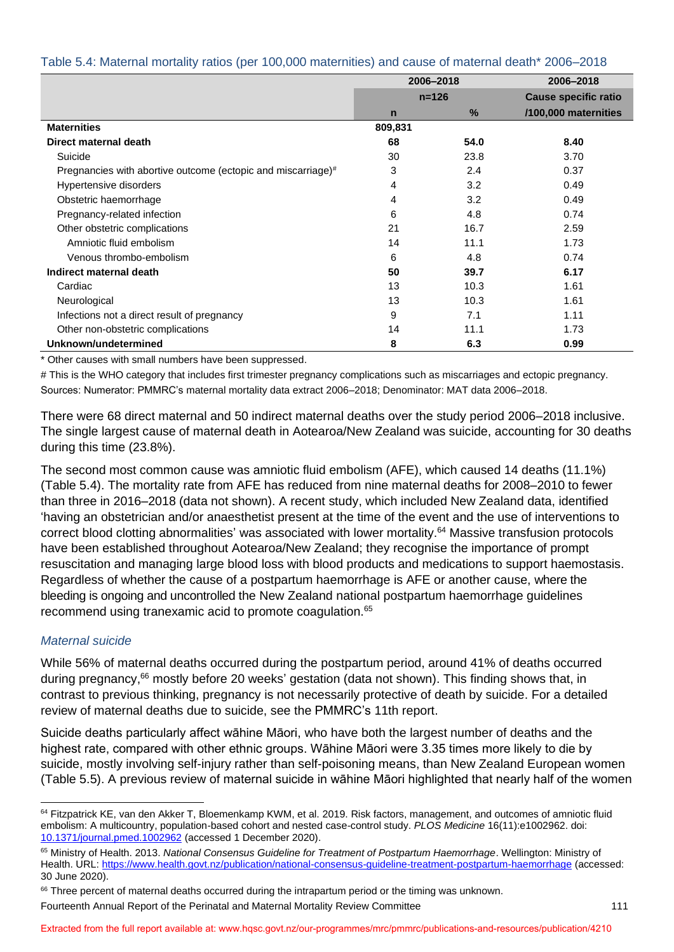<span id="page-6-0"></span>

| Table 5.4: Maternal mortality ratios (per 100,000 maternities) and cause of maternal death* 2006-2018 |  |  |  |  |
|-------------------------------------------------------------------------------------------------------|--|--|--|--|
|-------------------------------------------------------------------------------------------------------|--|--|--|--|

|                                                              | 2006-2018   |      | 2006-2018                   |  |  |
|--------------------------------------------------------------|-------------|------|-----------------------------|--|--|
|                                                              | $n = 126$   |      | <b>Cause specific ratio</b> |  |  |
|                                                              | $\mathbf n$ | $\%$ | /100,000 maternities        |  |  |
| <b>Maternities</b>                                           | 809,831     |      |                             |  |  |
| Direct maternal death                                        | 68          | 54.0 | 8.40                        |  |  |
| Suicide                                                      | 30          | 23.8 | 3.70                        |  |  |
| Pregnancies with abortive outcome (ectopic and miscarriage)# | 3           | 2.4  | 0.37                        |  |  |
| Hypertensive disorders                                       | 4           | 3.2  | 0.49                        |  |  |
| Obstetric haemorrhage                                        | 4           | 3.2  | 0.49                        |  |  |
| Pregnancy-related infection                                  | 6           | 4.8  | 0.74                        |  |  |
| Other obstetric complications                                | 21          | 16.7 | 2.59                        |  |  |
| Amniotic fluid embolism                                      | 14          | 11.1 | 1.73                        |  |  |
| Venous thrombo-embolism                                      | 6           | 4.8  | 0.74                        |  |  |
| Indirect maternal death                                      | 50          | 39.7 | 6.17                        |  |  |
| Cardiac                                                      | 13          | 10.3 | 1.61                        |  |  |
| Neurological                                                 | 13          | 10.3 | 1.61                        |  |  |
| Infections not a direct result of pregnancy                  | 9           | 7.1  | 1.11                        |  |  |
| Other non-obstetric complications                            | 14          | 11.1 | 1.73                        |  |  |
| Unknown/undetermined                                         | 8           | 6.3  | 0.99                        |  |  |

\* Other causes with small numbers have been suppressed.

# This is the WHO category that includes first trimester pregnancy complications such as miscarriages and ectopic pregnancy. Sources: Numerator: PMMRC's maternal mortality data extract 2006–2018; Denominator: MAT data 2006–2018.

There were 68 direct maternal and 50 indirect maternal deaths over the study period 2006–2018 inclusive. The single largest cause of maternal death in Aotearoa/New Zealand was suicide, accounting for 30 deaths during this time (23.8%).

The second most common cause was amniotic fluid embolism (AFE), which caused 14 deaths (11.1%) [\(Table 5.4\)](#page-6-0). The mortality rate from AFE has reduced from nine maternal deaths for 2008–2010 to fewer than three in 2016–2018 (data not shown). A recent study, which included New Zealand data, identified 'having an obstetrician and/or anaesthetist present at the time of the event and the use of interventions to correct blood clotting abnormalities' was associated with lower mortality. <sup>64</sup> Massive transfusion protocols have been established throughout Aotearoa/New Zealand; they recognise the importance of prompt resuscitation and managing large blood loss with blood products and medications to support haemostasis. Regardless of whether the cause of a postpartum haemorrhage is AFE or another cause, where the bleeding is ongoing and uncontrolled the New Zealand national postpartum haemorrhage guidelines recommend using tranexamic acid to promote coagulation.<sup>65</sup>

#### *Maternal suicide*

While 56% of maternal deaths occurred during the postpartum period, around 41% of deaths occurred during pregnancy, <sup>66</sup> mostly before 20 weeks' gestation (data not shown). This finding shows that, in contrast to previous thinking, pregnancy is not necessarily protective of death by suicide. For a detailed review of maternal deaths due to suicide, see the PMMRC's 11th report.

Suicide deaths particularly affect wāhine Māori, who have both the largest number of deaths and the highest rate, compared with other ethnic groups. Wāhine Māori were 3.35 times more likely to die by suicide, mostly involving self-injury rather than self-poisoning means, than New Zealand European women [\(Table 5.5\)](#page-7-0). A previous review of maternal suicide in wāhine Māori highlighted that nearly half of the women

<sup>&</sup>lt;sup>64</sup> Fitzpatrick KE, van den Akker T, Bloemenkamp KWM, et al. 2019. Risk factors, management, and outcomes of amniotic fluid embolism: A multicountry, population-based cohort and nested case-control study. *PLOS Medicine* 16(11):e1002962. doi: [10.1371/journal.pmed.1002962](https://doi.org/10.1371/journal.pmed.1002962) (accessed 1 December 2020).

<sup>65</sup> Ministry of Health. 2013. *National Consensus Guideline for Treatment of Postpartum Haemorrhage*. Wellington: Ministry of Health. URL:<https://www.health.govt.nz/publication/national-consensus-guideline-treatment-postpartum-haemorrhage> (accessed: 30 June 2020).

<sup>&</sup>lt;sup>66</sup> Three percent of maternal deaths occurred during the intrapartum period or the timing was unknown.

Fourteenth Annual Report of the Perinatal and Maternal Mortality Review Committee 111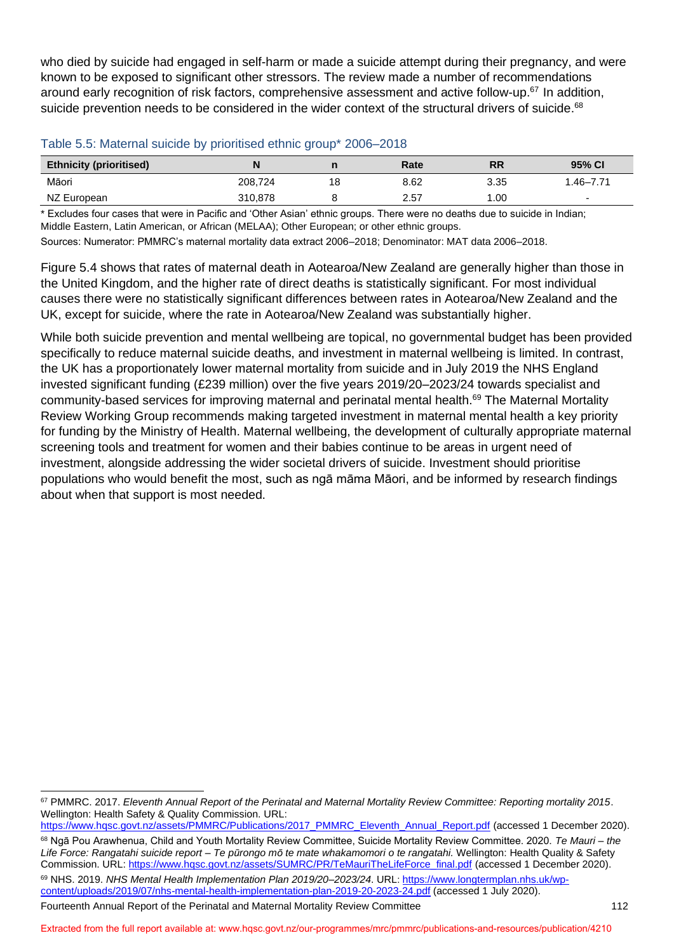who died by suicide had engaged in self-harm or made a suicide attempt during their pregnancy, and were known to be exposed to significant other stressors. The review made a number of recommendations around early recognition of risk factors, comprehensive assessment and active follow-up.<sup>67</sup> In addition, suicide prevention needs to be considered in the wider context of the structural drivers of suicide.<sup>68</sup>

<span id="page-7-0"></span>

| <b>Ethnicity (prioritised)</b> |         |    | Rate | RR   | 95% CI                   |
|--------------------------------|---------|----|------|------|--------------------------|
| Māori                          | 208,724 | 18 | 8.62 | 3.35 | 1.46–7.71                |
| NZ European                    | 310,878 |    | 2.57 | .00  | $\overline{\phantom{0}}$ |

\* Excludes four cases that were in Pacific and 'Other Asian' ethnic groups. There were no deaths due to suicide in Indian; Middle Eastern, Latin American, or African (MELAA); Other European; or other ethnic groups.

Sources: Numerator: PMMRC's maternal mortality data extract 2006–2018; Denominator: MAT data 2006–2018.

[Figure 5.4](#page-8-0) shows that rates of maternal death in Aotearoa/New Zealand are generally higher than those in the United Kingdom, and the higher rate of direct deaths is statistically significant. For most individual causes there were no statistically significant differences between rates in Aotearoa/New Zealand and the UK, except for suicide, where the rate in Aotearoa/New Zealand was substantially higher.

While both suicide prevention and mental wellbeing are topical, no governmental budget has been provided specifically to reduce maternal suicide deaths, and investment in maternal wellbeing is limited. In contrast, the UK has a proportionately lower maternal mortality from suicide and in July 2019 the NHS England invested significant funding (£239 million) over the five years 2019/20–2023/24 towards specialist and community-based services for improving maternal and perinatal mental health.<sup>69</sup> The Maternal Mortality Review Working Group recommends making targeted investment in maternal mental health a key priority for funding by the Ministry of Health. Maternal wellbeing, the development of culturally appropriate maternal screening tools and treatment for women and their babies continue to be areas in urgent need of investment, alongside addressing the wider societal drivers of suicide. Investment should prioritise populations who would benefit the most, such as ngā māma Māori, and be informed by research findings about when that support is most needed.

Fourteenth Annual Report of the Perinatal and Maternal Mortality Review Committee 112 [content/uploads/2019/07/nhs-mental-health-implementation-plan-2019-20-2023-24.pdf](https://www.longtermplan.nhs.uk/wp-content/uploads/2019/07/nhs-mental-health-implementation-plan-2019-20-2023-24.pdf) (accessed 1 July 2020).

<sup>67</sup> PMMRC. 2017. *Eleventh Annual Report of the Perinatal and Maternal Mortality Review Committee: Reporting mortality 2015*. Wellington: Health Safety & Quality Commission. URL:

[https://www.hqsc.govt.nz/assets/PMMRC/Publications/2017\\_PMMRC\\_Eleventh\\_Annual\\_Report.pdf](https://www.hqsc.govt.nz/assets/PMMRC/Publications/2017_PMMRC_Eleventh_Annual_Report.pdf) (accessed 1 December 2020). <sup>68</sup> Ngā Pou Arawhenua, Child and Youth Mortality Review Committee, Suicide Mortality Review Committee. 2020. *Te Mauri – the Life Force: Rangatahi suicide report – Te pūrongo mō te mate whakamomori o te rangatahi.* Wellington: Health Quality & Safety Commission. URL[: https://www.hqsc.govt.nz/assets/SUMRC/PR/TeMauriTheLifeForce\\_final.pdf](https://www.hqsc.govt.nz/assets/SUMRC/PR/TeMauriTheLifeForce_final.pdf) (accessed 1 December 2020). <sup>69</sup> NHS. 2019. *NHS Mental Health Implementation Plan 2019/20–2023/24*. URL: [https://www.longtermplan.nhs.uk/wp-](https://www.longtermplan.nhs.uk/wp-content/uploads/2019/07/nhs-mental-health-implementation-plan-2019-20-2023-24.pdf)